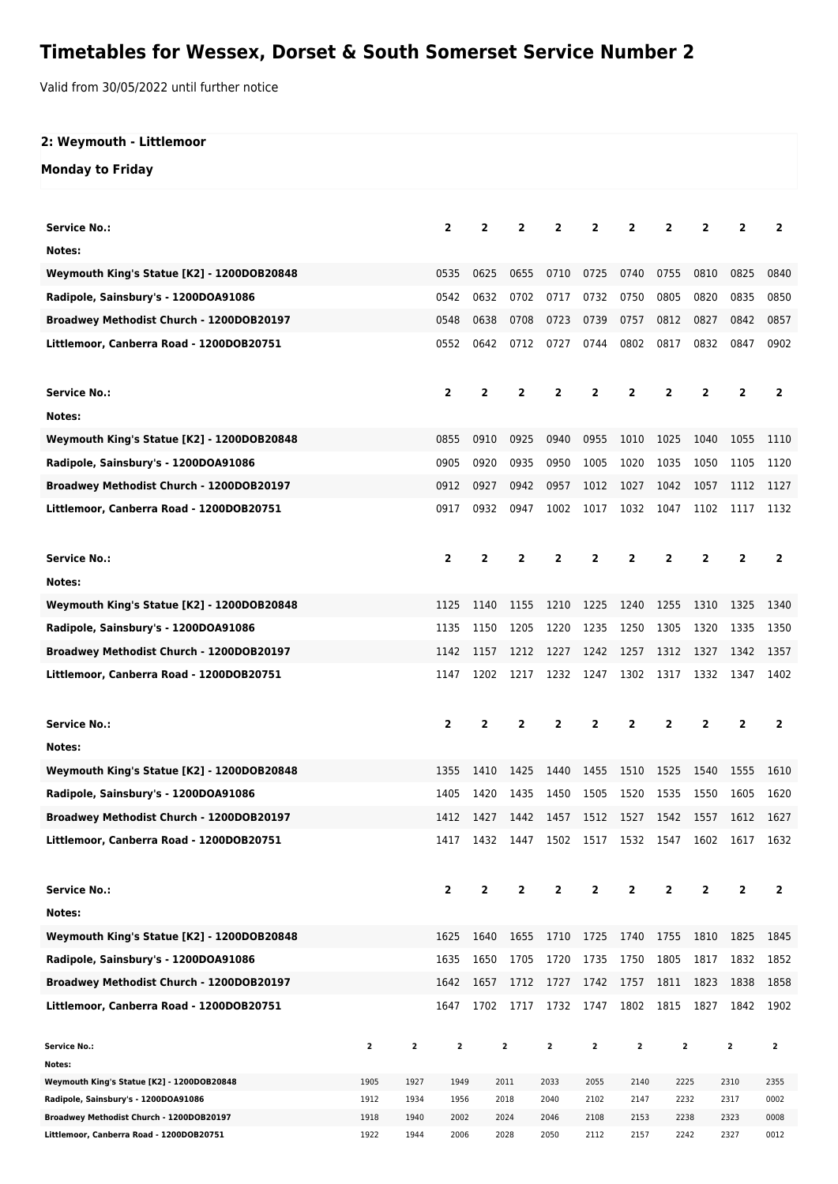## **Timetables for Wessex, Dorset & South Somerset Service Number 2**

Valid from 30/05/2022 until further notice

## **2: Weymouth - Littlemoor Monday to Friday Service No.: 2 2 2 2 2 2 2 2 2 2 Notes: Weymouth King's Statue [K2] - 1200DOB20848** 0535 0625 0655 0710 0725 0740 0755 0810 0825 0840 **Radipole, Sainsbury's - 1200DOA91086** 0542 0632 0702 0717 0732 0750 0805 0820 0835 0850 **Broadwey Methodist Church - 1200DOB20197** 0548 0638 0708 0723 0739 0757 0812 0827 0842 0857 **Littlemoor, Canberra Road - 1200DOB20751** 0552 0642 0712 0727 0744 0802 0817 0832 0847 0902 **Service No.: 2 2 2 2 2 2 2 2 2 2 Notes: Weymouth King's Statue [K2] - 1200DOB20848** 0855 0910 0925 0940 0955 1010 1025 1040 1055 1110 **Radipole, Sainsbury's - 1200DOA91086** 0905 0920 0935 0950 1005 1020 1035 1050 1105 1120 **Broadwey Methodist Church - 1200DOB20197** 0912 0927 0942 0957 1012 1027 1042 1057 1112 1127 **Littlemoor, Canberra Road - 1200DOB20751** 0917 0932 0947 1002 1017 1032 1047 1102 1117 1132 **Service No.: 2 2 2 2 2 2 2 2 2 2 Notes: Weymouth King's Statue [K2] - 1200DOB20848** 1125 1140 1155 1210 1225 1240 1255 1310 1325 1340 **Radipole, Sainsbury's - 1200DOA91086** 1135 1150 1205 1220 1235 1250 1305 1320 1335 1350 **Broadwey Methodist Church - 1200DOB20197** 1142 1157 1212 1227 1242 1257 1312 1327 1342 1357 **Littlemoor, Canberra Road - 1200DOB20751** 1147 1202 1217 1232 1247 1302 1317 1332 1347 1402 **Service No.: 2 2 2 2 2 2 2 2 2 2 Notes: Weymouth King's Statue [K2] - 1200DOB20848** 1355 1410 1425 1440 1455 1510 1525 1540 1555 1610 **Radipole, Sainsbury's - 1200DOA91086** 1405 1420 1435 1450 1505 1520 1535 1550 1605 1620 **Broadwey Methodist Church - 1200DOB20197** 1412 1427 1442 1457 1512 1527 1542 1557 1612 1627 **Littlemoor, Canberra Road - 1200DOB20751** 1417 1432 1447 1502 1517 1532 1547 1602 1617 1632 **Service No.: 2 2 2 2 2 2 2 2 2 2 Notes: Weymouth King's Statue [K2] - 1200DOB20848** 1625 1640 1655 1710 1725 1740 1755 1810 1825 1845 **Radipole, Sainsbury's - 1200DOA91086** 1635 1650 1705 1720 1735 1750 1805 1817 1832 1852 **Broadwey Methodist Church - 1200DOB20197** 1642 1657 1712 1727 1742 1757 1811 1823 1838 1858 **Littlemoor, Canberra Road - 1200DOB20751** 1647 1702 1717 1732 1747 1802 1815 1827 1842 1902 **Service No.: 2 2 2 2 2 2 2 2 2 2 Notes: Weymouth King's Statue [K2] - 1200DOB20848** 1905 1927 1949 2011 2033 2055 2140 2225 2310 2355

**Radipole, Sainsbury's - 1200DOA91086** 1912 1934 1956 2018 2040 2102 2147 2232 2317 0002 **Broadwey Methodist Church - 1200DOB20197** 1918 1940 2002 2024 2046 2108 2153 2238 2323 0008 **Littlemoor, Canberra Road - 1200DOB20751** 1922 1944 2006 2028 2050 2112 2157 2242 2327 0012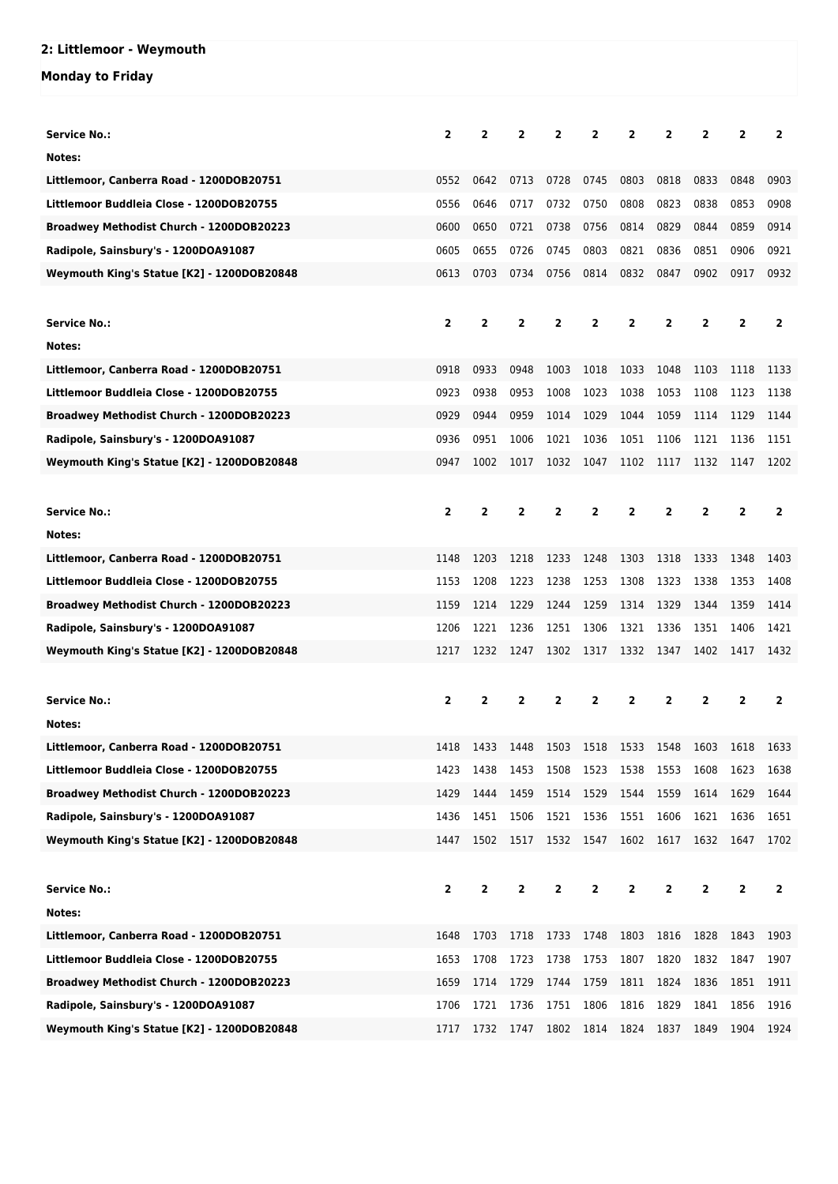## **2: Littlemoor - Weymouth**

## **Monday to Friday**

| <b>Service No.:</b>                        | $\overline{2}$ | $\overline{2}$ | $\overline{2}$ | $\mathbf{2}$   | $\overline{2}$ | 2              | 2              | $\overline{2}$          | $\overline{2}$ | $\overline{2}$ |
|--------------------------------------------|----------------|----------------|----------------|----------------|----------------|----------------|----------------|-------------------------|----------------|----------------|
| Notes:                                     |                |                |                |                |                |                |                |                         |                |                |
| Littlemoor, Canberra Road - 1200DOB20751   | 0552           | 0642           | 0713           | 0728           | 0745           | 0803           | 0818           | 0833                    | 0848           | 0903           |
| Littlemoor Buddleia Close - 1200DOB20755   | 0556           | 0646           | 0717           | 0732           | 0750           | 0808           | 0823           | 0838                    | 0853           | 0908           |
| Broadwey Methodist Church - 1200DOB20223   | 0600           | 0650           | 0721           | 0738           | 0756           | 0814           | 0829           | 0844                    | 0859           | 0914           |
|                                            | 0605           | 0655           | 0726           | 0745           | 0803           | 0821           | 0836           | 0851                    | 0906           | 0921           |
| Radipole, Sainsbury's - 1200DOA91087       | 0613           | 0703           | 0734           | 0756           | 0814           | 0832           | 0847           | 0902                    | 0917           | 0932           |
| Weymouth King's Statue [K2] - 1200DOB20848 |                |                |                |                |                |                |                |                         |                |                |
|                                            |                |                |                |                |                |                |                |                         |                |                |
| <b>Service No.:</b>                        | $\overline{2}$ | $\overline{2}$ | $\overline{2}$ | $\overline{2}$ | $\overline{2}$ | 2              | $\overline{2}$ | $\overline{2}$          | $\mathbf{2}$   | $\overline{2}$ |
| Notes:                                     |                |                |                |                |                |                |                |                         |                |                |
| Littlemoor, Canberra Road - 1200DOB20751   | 0918           | 0933           | 0948           | 1003           | 1018           | 1033           | 1048           | 1103                    | 1118           | 1133           |
| Littlemoor Buddleia Close - 1200DOB20755   | 0923           | 0938           | 0953           | 1008           | 1023           | 1038           | 1053           | 1108                    | 1123           | 1138           |
| Broadwey Methodist Church - 1200DOB20223   | 0929           | 0944           | 0959           | 1014           | 1029           | 1044           | 1059           | 1114                    | 1129           | 1144           |
| Radipole, Sainsbury's - 1200DOA91087       | 0936           | 0951           | 1006           | 1021           | 1036           | 1051           | 1106           | 1121                    | 1136           | 1151           |
| Weymouth King's Statue [K2] - 1200DOB20848 | 0947           | 1002           | 1017           | 1032           | 1047           | 1102           | 1117           | 1132                    | 1147           | 1202           |
|                                            |                |                |                |                |                |                |                |                         |                |                |
| <b>Service No.:</b>                        | $\overline{2}$ | $\overline{2}$ | $\overline{2}$ | $\overline{2}$ | $\overline{2}$ | $\overline{2}$ | $\overline{2}$ | $\overline{2}$          | $\overline{2}$ | $\overline{2}$ |
| Notes:                                     |                |                |                |                |                |                |                |                         |                |                |
| Littlemoor, Canberra Road - 1200DOB20751   | 1148           | 1203           | 1218           | 1233           | 1248           | 1303           | 1318           | 1333                    | 1348           | 1403           |
| Littlemoor Buddleia Close - 1200DOB20755   | 1153           | 1208           | 1223           | 1238           | 1253           | 1308           | 1323           | 1338                    | 1353           | 1408           |
| Broadwey Methodist Church - 1200DOB20223   | 1159           | 1214           | 1229           | 1244           | 1259           | 1314           | 1329           | 1344                    | 1359           | 1414           |
| Radipole, Sainsbury's - 1200DOA91087       | 1206           | 1221           | 1236           | 1251           | 1306           | 1321           | 1336           | 1351                    | 1406           | 1421           |
| Weymouth King's Statue [K2] - 1200DOB20848 | 1217           | 1232           | 1247           | 1302           | 1317           | 1332           | 1347           | 1402                    | 1417           | 1432           |
|                                            |                |                |                |                |                |                |                |                         |                |                |
| <b>Service No.:</b>                        | $\overline{2}$ | $\overline{2}$ | $\overline{2}$ | $\mathbf{2}$   | $\overline{2}$ | 2              | $\overline{2}$ | 2                       | 2              | $\overline{2}$ |
| Notes:                                     |                |                |                |                |                |                |                |                         |                |                |
| Littlemoor, Canberra Road - 1200DOB20751   | 1418           | 1433           | 1448           | 1503           | 1518           | 1533           | 1548           | 1603                    | 1618           | 1633           |
| Littlemoor Buddleia Close - 1200DOB20755   | 1423           | 1438           | 1453           | 1508           | 1523           | 1538           | 1553           | 1608                    | 1623           | 1638           |
| Broadwey Methodist Church - 1200DOB20223   | 1429           | 1444           | 1459           | 1514           | 1529           | 1544           | 1559           | 1614                    | 1629           | 1644           |
| Radipole, Sainsbury's - 1200DOA91087       | 1436           | 1451           | 1506           | 1521           | 1536           | 1551           | 1606           | 1621                    | 1636           | 1651           |
| Weymouth King's Statue [K2] - 1200DOB20848 | 1447           | 1502           | 1517           | 1532           | 1547           | 1602           | 1617           | 1632                    | 1647           | 1702           |
|                                            |                |                |                |                |                |                |                |                         |                |                |
| <b>Service No.:</b>                        | $\mathbf{2}$   | $\mathbf{2}$   | $\mathbf{2}$   | $\overline{2}$ | 2              | $\mathbf{2}$   | $\overline{2}$ | $\overline{\mathbf{2}}$ | $\overline{2}$ | $\mathbf{2}$   |
| Notes:                                     |                |                |                |                |                |                |                |                         |                |                |
| Littlemoor, Canberra Road - 1200DOB20751   | 1648           | 1703           | 1718           | 1733           | 1748           | 1803           | 1816           | 1828                    | 1843           | 1903           |
| Littlemoor Buddleia Close - 1200DOB20755   | 1653           | 1708           | 1723           | 1738           | 1753           | 1807           | 1820           | 1832                    | 1847           | 1907           |
| Broadwey Methodist Church - 1200DOB20223   | 1659           | 1714           | 1729           | 1744           | 1759           | 1811           | 1824           | 1836                    | 1851           | 1911           |
| Radipole, Sainsbury's - 1200DOA91087       | 1706           | 1721           | 1736           | 1751           | 1806           | 1816           | 1829           | 1841                    | 1856           | 1916           |
| Weymouth King's Statue [K2] - 1200DOB20848 | 1717           | 1732           | 1747           | 1802           | 1814           | 1824           | 1837           | 1849                    | 1904           | 1924           |